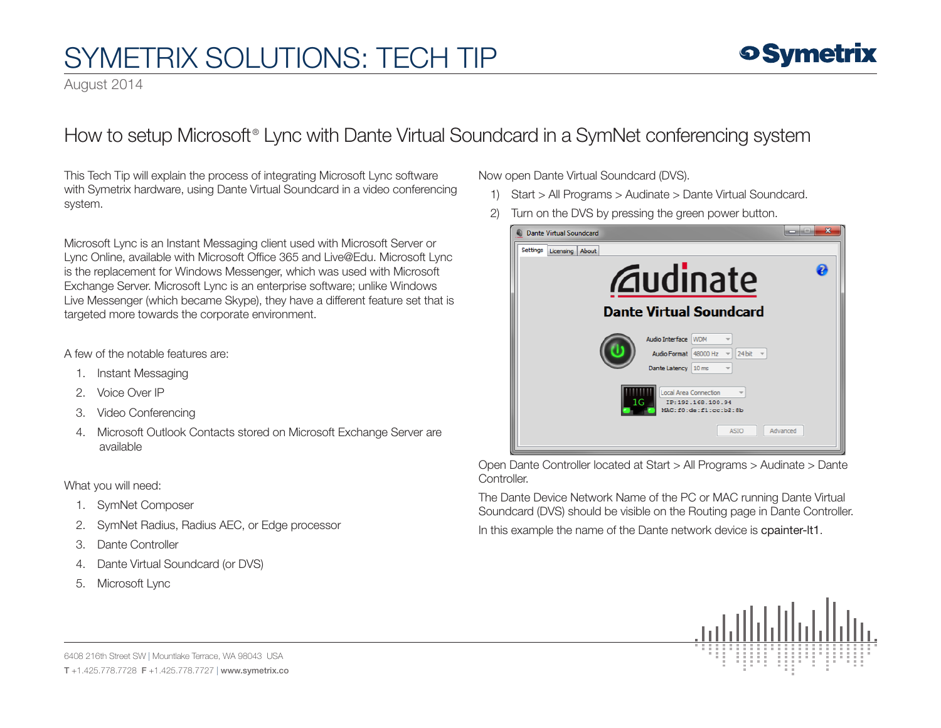August 2014

### How to setup Microsoft® Lync with Dante Virtual Soundcard in a SymNet conferencing system

This Tech Tip will explain the process of integrating Microsoft Lync software with Symetrix hardware, using Dante Virtual Soundcard in a video conferencing system.

Microsoft Lync is an Instant Messaging client used with Microsoft Server or Lync Online, available with Microsoft Office 365 and Live@Edu. Microsoft Lync is the replacement for Windows Messenger, which was used with Microsoft Exchange Server. Microsoft Lync is an enterprise software; unlike Windows Live Messenger (which became Skype), they have a different feature set that is targeted more towards the corporate environment.

### A few of the notable features are:

- 1. Instant Messaging
- 2. Voice Over IP
- 3. Video Conferencing
- 4. Microsoft Outlook Contacts stored on Microsoft Exchange Server are available

### What you will need:

- 1. SymNet Composer
- 2. SymNet Radius, Radius AEC, or Edge processor
- 3. Dante Controller
- 4. Dante Virtual Soundcard (or DVS)
- 5. Microsoft Lync

Now open Dante Virtual Soundcard (DVS).

- 1) Start > All Programs > Audinate > Dante Virtual Soundcard.
- 2) Turn on the DVS by pressing the green power button.



Open Dante Controller located at Start > All Programs > Audinate > Dante Controller.

The Dante Device Network Name of the PC or MAC running Dante Virtual Soundcard (DVS) should be visible on the Routing page in Dante Controller.

In this example the name of the Dante network device is cpainter-lt1.

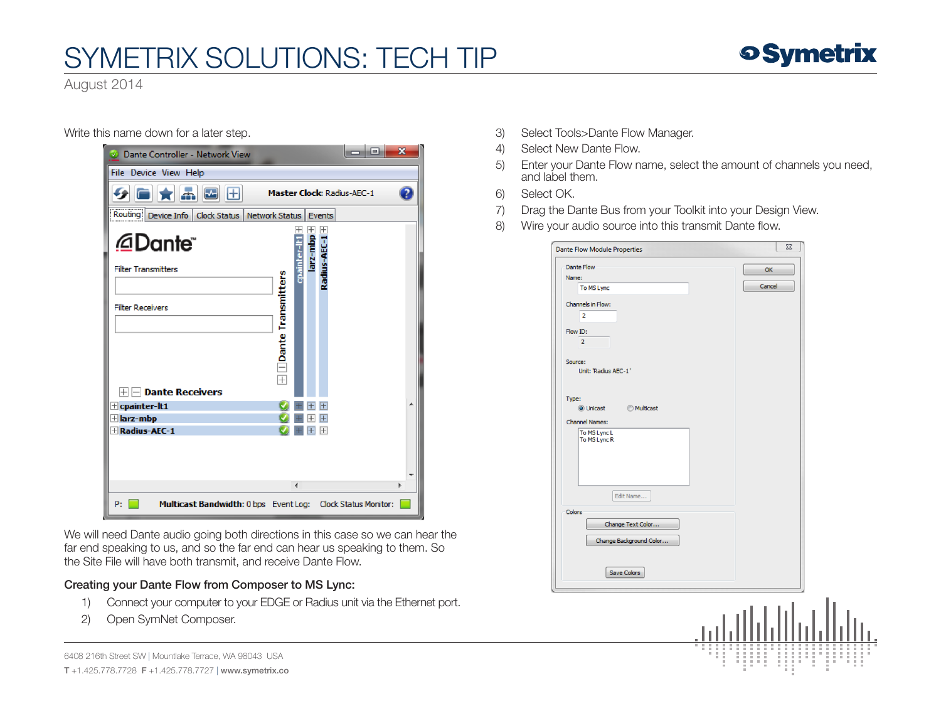

August 2014

Write this name down for a later step.

| Dante Controller - Network View                                   |                                                |                                       | ▣ | $\mathbf x$ |  |  |  |  |
|-------------------------------------------------------------------|------------------------------------------------|---------------------------------------|---|-------------|--|--|--|--|
| File Device View Help                                             |                                                |                                       |   |             |  |  |  |  |
| 五岡田<br><b>Master Clock: Radius-AEC-1</b>                          |                                                |                                       |   |             |  |  |  |  |
| Routing<br>Device Info   Clock Status                             | Network Status                                 | Events                                |   |             |  |  |  |  |
| @Dante"<br><b>Filter Transmitters</b><br><b>Filter Receivers</b>  | allegt<br>$\boxplus$ $\Box$ Dante Transmitters | $\ddot{}$<br>larz-mbp<br>Radius-AEC-1 |   |             |  |  |  |  |
| <b>Dante Receivers</b><br>Hŀ<br>$\pm$ cpainter-lt1<br>Harz-mbp    |                                                | $\overline{+}$                        |   |             |  |  |  |  |
| <b>H</b> Radius-AEC-1                                             |                                                | $\overline{+}$<br>$\mathbb{H}$        |   |             |  |  |  |  |
|                                                                   | ∢                                              |                                       |   |             |  |  |  |  |
| Multicast Bandwidth: 0 bps Event Log: Clock Status Monitor:<br>P: |                                                |                                       |   |             |  |  |  |  |

We will need Dante audio going both directions in this case so we can hear the far end speaking to us, and so the far end can hear us speaking to them. So the Site File will have both transmit, and receive Dante Flow.

### Creating your Dante Flow from Composer to MS Lync:

- 1) Connect your computer to your EDGE or Radius unit via the Ethernet port.
- 2) Open SymNet Composer.

6408 216th Street SW | Mountlake Terrace, WA 98043 USA

T +1.425.778.7728 F +1.425.778.7727 | www.symetrix.co

- 3) Select Tools>Dante Flow Manager.
- 4) Select New Dante Flow.
- 5) Enter your Dante Flow name, select the amount of channels you need, and label them.
- 6) Select OK.
- 7) Drag the Dante Bus from your Toolkit into your Design View.
- 8) Wire your audio source into this transmit Dante flow.

| <b>Dante Flow</b>       |        |  |
|-------------------------|--------|--|
|                         | OK     |  |
| Name:                   | Cancel |  |
| To MS Lync              |        |  |
| Channels in Flow:       |        |  |
| $\overline{\mathbf{2}}$ |        |  |
| Flow ID:                |        |  |
| $\overline{2}$          |        |  |
|                         |        |  |
| Source:                 |        |  |
| Unit: 'Radius AEC-1'    |        |  |
|                         |        |  |
|                         |        |  |
| Type:                   |        |  |
| ◎ Unicast ● Multicast   |        |  |
| <b>Channel Names:</b>   |        |  |
| To MS Lync L            |        |  |
| To MS Lync R            |        |  |
|                         |        |  |
|                         |        |  |
|                         |        |  |
|                         |        |  |
| Edit Name               |        |  |
| Colors                  |        |  |
| Change Text Color       |        |  |
|                         |        |  |
| Change Background Color |        |  |
|                         |        |  |
|                         |        |  |
| Save Colors             |        |  |
|                         |        |  |
|                         |        |  |
|                         | W.     |  |
|                         |        |  |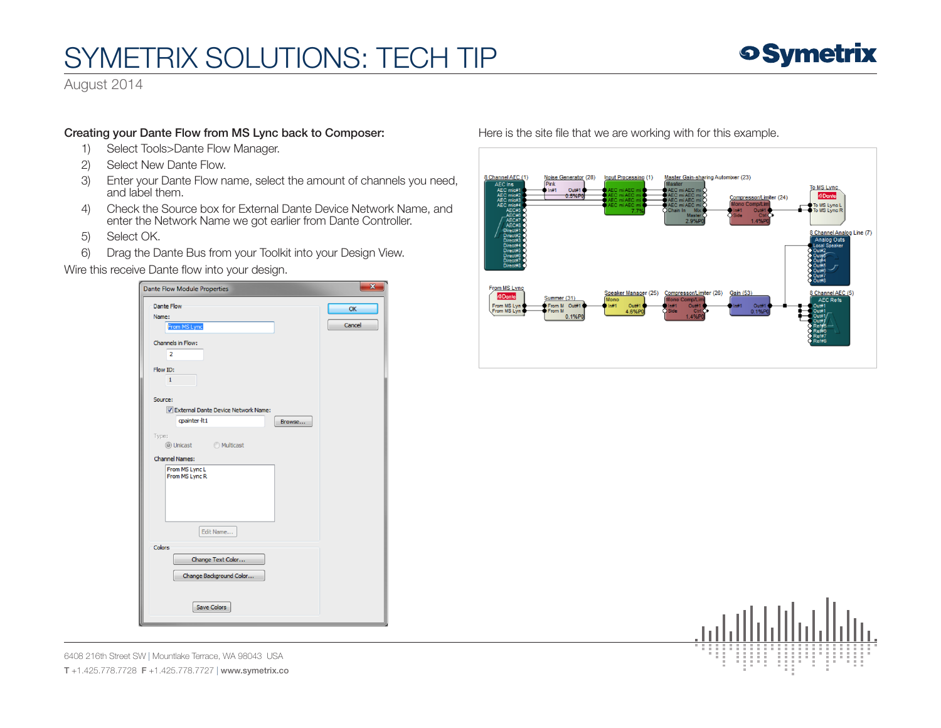

August 2014

### Creating your Dante Flow from MS Lync back to Composer:

- 1) Select Tools>Dante Flow Manager.
- 2) Select New Dante Flow.
- 3) Enter your Dante Flow name, select the amount of channels you need, and label them.
- 4) Check the Source box for External Dante Device Network Name, and enter the Network Name we got earlier from Dante Controller.

 $\mathbf{x}$ 

h

- 5) Select OK.
- 6) Drag the Dante Bus from your Toolkit into your Design View.

Wire this receive Dante flow into your design.

| <b>Dante Flow Module Properties</b> |        |
|-------------------------------------|--------|
| Dante Flow                          | OK     |
| Name:<br>From MS Lync               | Cancel |
| Channels in Flow:                   |        |
| $\overline{2}$                      |        |
| Flow ID:                            |        |
| $\mathbf{1}$                        |        |
| Source:                             |        |
| External Dante Device Network Name: |        |
| cpainter-lt1<br>Browse              |        |
| Type:<br>◎ Unicast ● Multicast      |        |
| <b>Channel Names:</b>               |        |
| From MS Lync L<br>From MS Lync R    |        |
|                                     |        |
|                                     |        |
|                                     |        |
| Edit Name                           |        |
| Colors                              |        |
| Change Text Color                   |        |
| Change Background Color             |        |
|                                     |        |
| <b>Save Colors</b>                  |        |
|                                     |        |

#### Here is the site file that we are working with for this example.



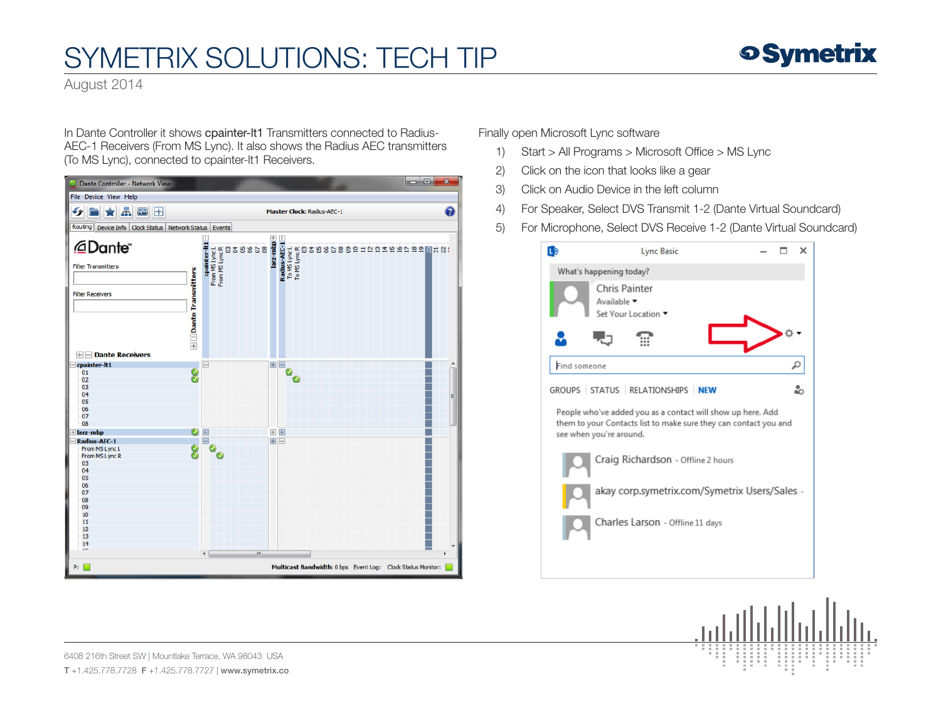August 2014

In Dante Controller it shows cpainter-lt1 Transmitters connected to Radius-AEC-1 Receivers (From MS Lync). It also shows the Radius AEC transmitters (To MS Lync), connected to cpainter-lt1 Receivers.



Finally open Microsoft Lync software

- 1) Start > All Programs > Microsoft Office > MS Lync
- 2) Click on the icon that looks like a gear
- 3) Click on Audio Device in the left column
- 4) For Speaker, Select DVS Transmit 1-2 (Dante Virtual Soundcard)
- 5) For Microphone, Select DVS Receive 1-2 (Dante Virtual Soundcard)